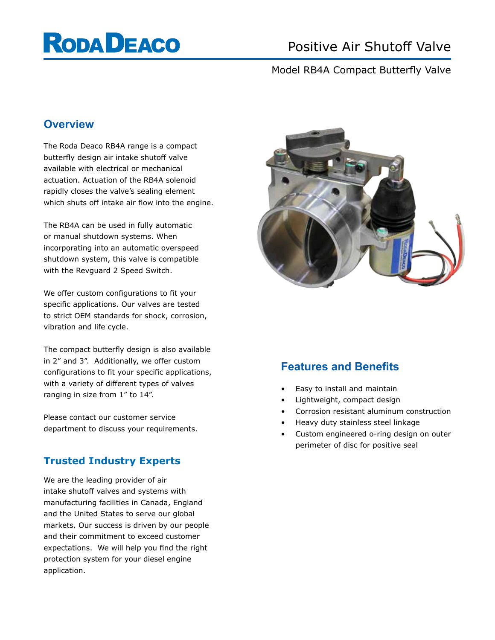# **RODA DEACO**

# Positive Air Shutoff Valve

## Model RB4A Compact Butterfly Valve

## **Overview**

The Roda Deaco RB4A range is a compact butterfly design air intake shutoff valve available with electrical or mechanical actuation. Actuation of the RB4A solenoid rapidly closes the valve's sealing element which shuts off intake air flow into the engine.

The RB4A can be used in fully automatic or manual shutdown systems. When incorporating into an automatic overspeed shutdown system, this valve is compatible with the Revguard 2 Speed Switch.

We offer custom configurations to fit your specific applications. Our valves are tested to strict OEM standards for shock, corrosion, vibration and life cycle.

The compact butterfly design is also available in 2" and 3". Additionally, we offer custom configurations to fit your specific applications, with a variety of different types of valves ranging in size from 1" to 14".

Please contact our customer service department to discuss your requirements.

## **Trusted Industry Experts**

We are the leading provider of air intake shutoff valves and systems with manufacturing facilities in Canada, England and the United States to serve our global markets. Our success is driven by our people and their commitment to exceed customer expectations. We will help you find the right protection system for your diesel engine application.



# **Features and Benefits**

- Easy to install and maintain
- Lightweight, compact design
- Corrosion resistant aluminum construction
- Heavy duty stainless steel linkage
- Custom engineered o-ring design on outer perimeter of disc for positive seal